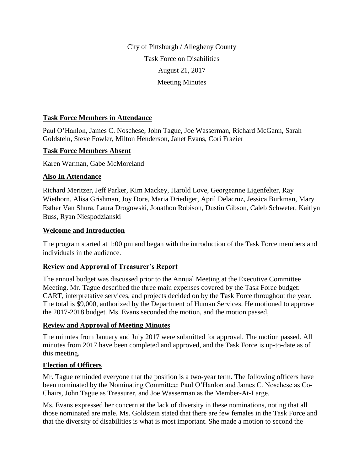City of Pittsburgh / Allegheny County Task Force on Disabilities August 21, 2017 Meeting Minutes

#### **Task Force Members in Attendance**

Paul O'Hanlon, James C. Noschese, John Tague, Joe Wasserman, Richard McGann, Sarah Goldstein, Steve Fowler, Milton Henderson, Janet Evans, Cori Frazier

#### **Task Force Members Absent**

Karen Warman, Gabe McMoreland

#### **Also In Attendance**

Richard Meritzer, Jeff Parker, Kim Mackey, Harold Love, Georgeanne Ligenfelter, Ray Wiethorn, Alisa Grishman, Joy Dore, Maria Driediger, April Delacruz, Jessica Burkman, Mary Esther Van Shura, Laura Drogowski, Jonathon Robison, Dustin Gibson, Caleb Schweter, Kaitlyn Buss, Ryan Niespodzianski

#### **Welcome and Introduction**

The program started at 1:00 pm and began with the introduction of the Task Force members and individuals in the audience.

## **Review and Approval of Treasurer's Report**

The annual budget was discussed prior to the Annual Meeting at the Executive Committee Meeting. Mr. Tague described the three main expenses covered by the Task Force budget: CART, interpretative services, and projects decided on by the Task Force throughout the year. The total is \$9,000, authorized by the Department of Human Services. He motioned to approve the 2017-2018 budget. Ms. Evans seconded the motion, and the motion passed,

## **Review and Approval of Meeting Minutes**

The minutes from January and July 2017 were submitted for approval. The motion passed. All minutes from 2017 have been completed and approved, and the Task Force is up-to-date as of this meeting.

## **Election of Officers**

Mr. Tague reminded everyone that the position is a two-year term. The following officers have been nominated by the Nominating Committee: Paul O'Hanlon and James C. Noschese as Co-Chairs, John Tague as Treasurer, and Joe Wasserman as the Member-At-Large.

Ms. Evans expressed her concern at the lack of diversity in these nominations, noting that all those nominated are male. Ms. Goldstein stated that there are few females in the Task Force and that the diversity of disabilities is what is most important. She made a motion to second the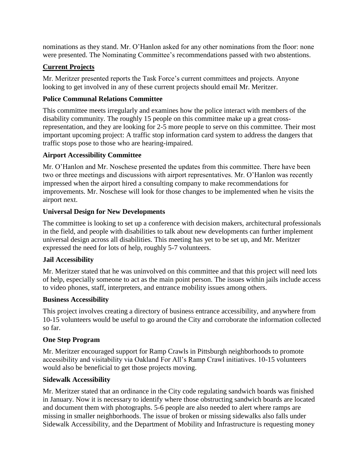nominations as they stand. Mr. O'Hanlon asked for any other nominations from the floor: none were presented. The Nominating Committee's recommendations passed with two abstentions.

# **Current Projects**

Mr. Meritzer presented reports the Task Force's current committees and projects. Anyone looking to get involved in any of these current projects should email Mr. Meritzer.

# **Police Communal Relations Committee**

This committee meets irregularly and examines how the police interact with members of the disability community. The roughly 15 people on this committee make up a great crossrepresentation, and they are looking for 2-5 more people to serve on this committee. Their most important upcoming project: A traffic stop information card system to address the dangers that traffic stops pose to those who are hearing-impaired.

# **Airport Accessibility Committee**

Mr. O'Hanlon and Mr. Noschese presented the updates from this committee. There have been two or three meetings and discussions with airport representatives. Mr. O'Hanlon was recently impressed when the airport hired a consulting company to make recommendations for improvements. Mr. Noschese will look for those changes to be implemented when he visits the airport next.

# **Universal Design for New Developments**

The committee is looking to set up a conference with decision makers, architectural professionals in the field, and people with disabilities to talk about new developments can further implement universal design across all disabilities. This meeting has yet to be set up, and Mr. Meritzer expressed the need for lots of help, roughly 5-7 volunteers.

## **Jail Accessibility**

Mr. Meritzer stated that he was uninvolved on this committee and that this project will need lots of help, especially someone to act as the main point person. The issues within jails include access to video phones, staff, interpreters, and entrance mobility issues among others.

## **Business Accessibility**

This project involves creating a directory of business entrance accessibility, and anywhere from 10-15 volunteers would be useful to go around the City and corroborate the information collected so far.

## **One Step Program**

Mr. Meritzer encouraged support for Ramp Crawls in Pittsburgh neighborhoods to promote accessibility and visitability via Oakland For All's Ramp Crawl initiatives. 10-15 volunteers would also be beneficial to get those projects moving.

## **Sidewalk Accessibility**

Mr. Meritzer stated that an ordinance in the City code regulating sandwich boards was finished in January. Now it is necessary to identify where those obstructing sandwich boards are located and document them with photographs. 5-6 people are also needed to alert where ramps are missing in smaller neighborhoods. The issue of broken or missing sidewalks also falls under Sidewalk Accessibility, and the Department of Mobility and Infrastructure is requesting money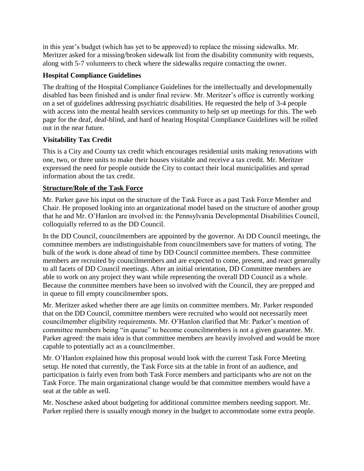in this year's budget (which has yet to be approved) to replace the missing sidewalks. Mr. Meritzer asked for a missing/broken sidewalk list from the disability community with requests, along with 5-7 volunteers to check where the sidewalks require contacting the owner.

### **Hospital Compliance Guidelines**

The drafting of the Hospital Compliance Guidelines for the intellectually and developmentally disabled has been finished and is under final review. Mr. Meritzer's office is currently working on a set of guidelines addressing psychiatric disabilities. He requested the help of 3-4 people with access into the mental health services community to help set up meetings for this. The web page for the deaf, deaf-blind, and hard of hearing Hospital Compliance Guidelines will be rolled out in the near future.

## **Visitability Tax Credit**

This is a City and County tax credit which encourages residential units making renovations with one, two, or three units to make their houses visitable and receive a tax credit. Mr. Meritzer expressed the need for people outside the City to contact their local municipalities and spread information about the tax credit.

#### **Structure/Role of the Task Force**

Mr. Parker gave his input on the structure of the Task Force as a past Task Force Member and Chair. He proposed looking into an organizational model based on the structure of another group that he and Mr. O'Hanlon are involved in: the Pennsylvania Developmental Disabilities Council, colloquially referred to as the DD Council.

In the DD Council, councilmembers are appointed by the governor. At DD Council meetings, the committee members are indistinguishable from councilmembers save for matters of voting. The bulk of the work is done ahead of time by DD Council committee members. These committee members are recruited by councilmembers and are expected to come, present, and react generally to all facets of DD Council meetings. After an initial orientation, DD Committee members are able to work on any project they want while representing the overall DD Council as a whole. Because the committee members have been so involved with the Council, they are prepped and in queue to fill empty councilmember spots.

Mr. Meritzer asked whether there are age limits on committee members. Mr. Parker responded that on the DD Council, committee members were recruited who would not necessarily meet councilmember eligibility requirements. Mr. O'Hanlon clarified that Mr. Parker's mention of committee members being "in queue" to become councilmembers is not a given guarantee. Mr. Parker agreed: the main idea is that committee members are heavily involved and would be more capable to potentially act as a councilmember.

Mr. O'Hanlon explained how this proposal would look with the current Task Force Meeting setup. He noted that currently, the Task Force sits at the table in front of an audience, and participation is fairly even from both Task Force members and participants who are not on the Task Force. The main organizational change would be that committee members would have a seat at the table as well.

Mr. Noschese asked about budgeting for additional committee members needing support. Mr. Parker replied there is usually enough money in the budget to accommodate some extra people.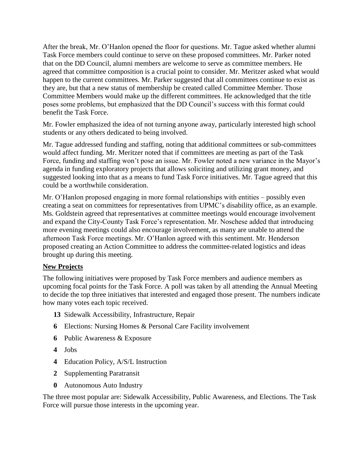After the break, Mr. O'Hanlon opened the floor for questions. Mr. Tague asked whether alumni Task Force members could continue to serve on these proposed committees. Mr. Parker noted that on the DD Council, alumni members are welcome to serve as committee members. He agreed that committee composition is a crucial point to consider. Mr. Meritzer asked what would happen to the current committees. Mr. Parker suggested that all committees continue to exist as they are, but that a new status of membership be created called Committee Member. Those Committee Members would make up the different committees. He acknowledged that the title poses some problems, but emphasized that the DD Council's success with this format could benefit the Task Force.

Mr. Fowler emphasized the idea of not turning anyone away, particularly interested high school students or any others dedicated to being involved.

Mr. Tague addressed funding and staffing, noting that additional committees or sub-committees would affect funding. Mr. Meritzer noted that if committees are meeting as part of the Task Force, funding and staffing won't pose an issue. Mr. Fowler noted a new variance in the Mayor's agenda in funding exploratory projects that allows soliciting and utilizing grant money, and suggested looking into that as a means to fund Task Force initiatives. Mr. Tague agreed that this could be a worthwhile consideration.

Mr. O'Hanlon proposed engaging in more formal relationships with entities – possibly even creating a seat on committees for representatives from UPMC's disability office, as an example. Ms. Goldstein agreed that representatives at committee meetings would encourage involvement and expand the City-County Task Force's representation. Mr. Noschese added that introducing more evening meetings could also encourage involvement, as many are unable to attend the afternoon Task Force meetings. Mr. O'Hanlon agreed with this sentiment. Mr. Henderson proposed creating an Action Committee to address the committee-related logistics and ideas brought up during this meeting.

#### **New Projects**

The following initiatives were proposed by Task Force members and audience members as upcoming focal points for the Task Force. A poll was taken by all attending the Annual Meeting to decide the top three initiatives that interested and engaged those present. The numbers indicate how many votes each topic received.

- **13** Sidewalk Accessibility, Infrastructure, Repair
- **6** Elections: Nursing Homes & Personal Care Facility involvement
- **6** Public Awareness & Exposure
- **4** Jobs
- **4** Education Policy, A/S/L Instruction
- **2** Supplementing Paratransit
- **0** Autonomous Auto Industry

The three most popular are: Sidewalk Accessibility, Public Awareness, and Elections. The Task Force will pursue those interests in the upcoming year.